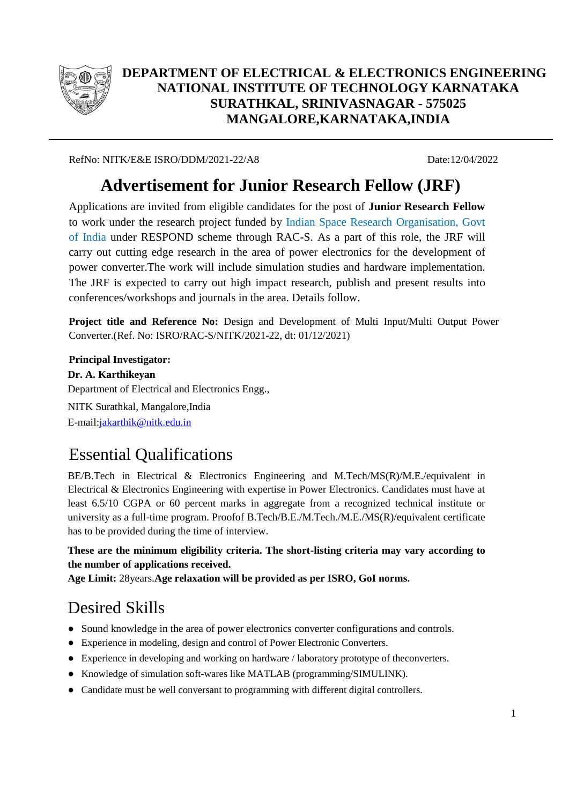

#### **DEPARTMENT OF ELECTRICAL & ELECTRONICS ENGINEERING NATIONAL INSTITUTE OF TECHNOLOGY KARNATAKA SURATHKAL, SRINIVASNAGAR - 575025 MANGALORE,KARNATAKA,INDIA**

RefNo: NITK/E&E ISRO/DDM/2021-22/A8 Date:12/04/2022

# **Advertisement for Junior Research Fellow (JRF)**

Applications are invited from eligible candidates for the post of **Junior Research Fellow**  to work under the research project funded by Indian Space Research Organisation, Govt of India under RESPOND scheme through RAC-S. As a part of this role, the JRF will carry out cutting edge research in the area of power electronics for the development of power converter.The work will include simulation studies and hardware implementation. The JRF is expected to carry out high impact research, publish and present results into conferences/workshops and journals in the area. Details follow.

**Project title and Reference No:** Design and Development of Multi Input/Multi Output Power Converter.(Ref. No: ISRO/RAC-S/NITK/2021-22, dt: 01/12/2021)

**Principal Investigator: Dr. A. Karthikeyan** Department of Electrical and Electronics Engg., NITK Surathkal, Mangalore,India E-mail[:jakarthik@nitk.edu.in](mailto:jakarthik@nitk.edu.in)

## Essential Qualifications

BE/B.Tech in Electrical & Electronics Engineering and M.Tech/MS(R)/M.E./equivalent in Electrical & Electronics Engineering with expertise in Power Electronics. Candidates must have at least 6.5/10 CGPA or 60 percent marks in aggregate from a recognized technical institute or university as a full-time program. Proofof B.Tech/B.E./M.Tech./M.E./MS(R)/equivalent certificate has to be provided during the time of interview.

**These are the minimum eligibility criteria. The short-listing criteria may vary according to the number of applications received.**

**Age Limit:** 28years.**Age relaxation will be provided as per ISRO, GoI norms.**

## Desired Skills

- Sound knowledge in the area of power electronics converter configurations and controls.
- Experience in modeling, design and control of Power Electronic Converters.
- Experience in developing and working on hardware / laboratory prototype of theconverters.
- Knowledge of simulation soft-wares like MATLAB (programming/SIMULINK).
- Candidate must be well conversant to programming with different digital controllers.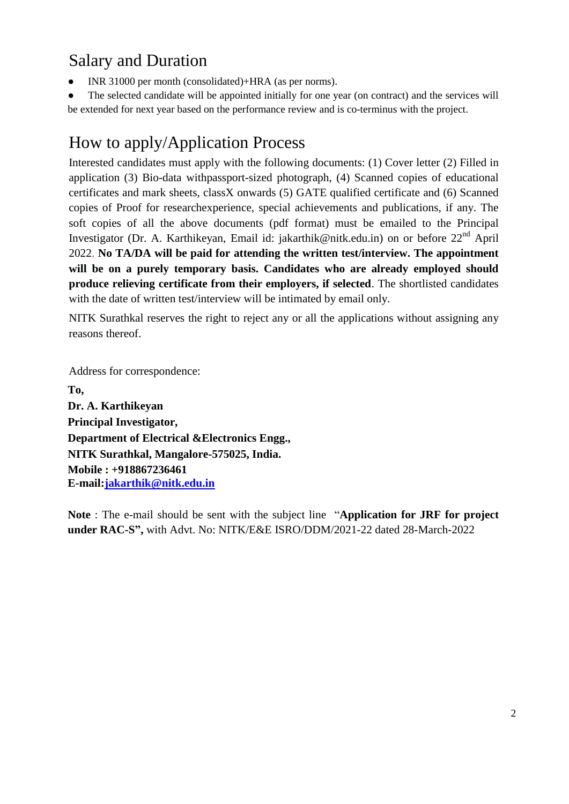## Salary and Duration

INR 31000 per month (consolidated)+HRA (as per norms).

The selected candidate will be appointed initially for one year (on contract) and the services will be extended for next year based on the performance review and is co-terminus with the project.

## How to apply/Application Process

Interested candidates must apply with the following documents: (1) Cover letter (2) Filled in application (3) Bio-data withpassport-sized photograph, (4) Scanned copies of educational certificates and mark sheets, classX onwards (5) GATE qualified certificate and (6) Scanned copies of Proof for researchexperience, special achievements and publications, if any. The soft copies of all the above documents (pdf format) must be emailed to the Principal Investigator (Dr. A. Karthikeyan, Email id: jakarthik@nitk.edu.in) on or before 22<sup>nd</sup> April 2022. **No TA/DA will be paid for attending the written test/interview. The appointment will be on a purely temporary basis. Candidates who are already employed should produce relieving certificate from their employers, if selected**. The shortlisted candidates with the date of written test/interview will be intimated by email only.

NITK Surathkal reserves the right to reject any or all the applications without assigning any reasons thereof.

Address for correspondence:

**To, Dr. A. Karthikeyan Principal Investigator, Department of Electrical &Electronics Engg., NITK Surathkal, Mangalore-575025, India. Mobile : +918867236461 E-mail[:jakarthik@nitk.edu.in](mailto:jakarthik@nitk.edu.in)**

**Note** : The e-mail should be sent with the subject line "**Application for JRF for project under RAC-S",** with Advt. No: NITK/E&E ISRO/DDM/2021-22 dated 28-March-2022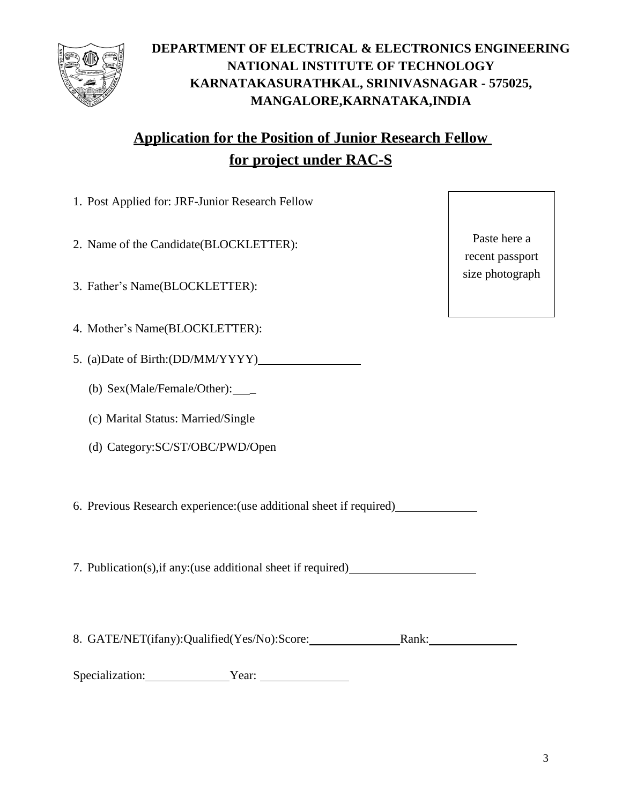

#### **DEPARTMENT OF ELECTRICAL & ELECTRONICS ENGINEERING NATIONAL INSTITUTE OF TECHNOLOGY KARNATAKASURATHKAL, SRINIVASNAGAR - 575025, MANGALORE,KARNATAKA,INDIA**

#### **Application for the Position of Junior Research Fellow for project under RAC-S**

- 1. Post Applied for: JRF-Junior Research Fellow
- 2. Name of the Candidate(BLOCKLETTER):
- 3. Father's Name(BLOCKLETTER):
- 4. Mother's Name(BLOCKLETTER):
- 5. (a)Date of Birth:(DD/MM/YYYY)
	- (b) Sex(Male/Female/Other): \_
	- (c) Marital Status: Married/Single
	- (d) Category:SC/ST/OBC/PWD/Open
- 6. Previous Research experience:(use additional sheet if required)

7. Publication(s),if any:(use additional sheet if required)

8. GATE/NET(ifany):Qualified(Yes/No):Score: Rank:

Specialization: <u>Vear:</u>

Paste here a recent passport size photograph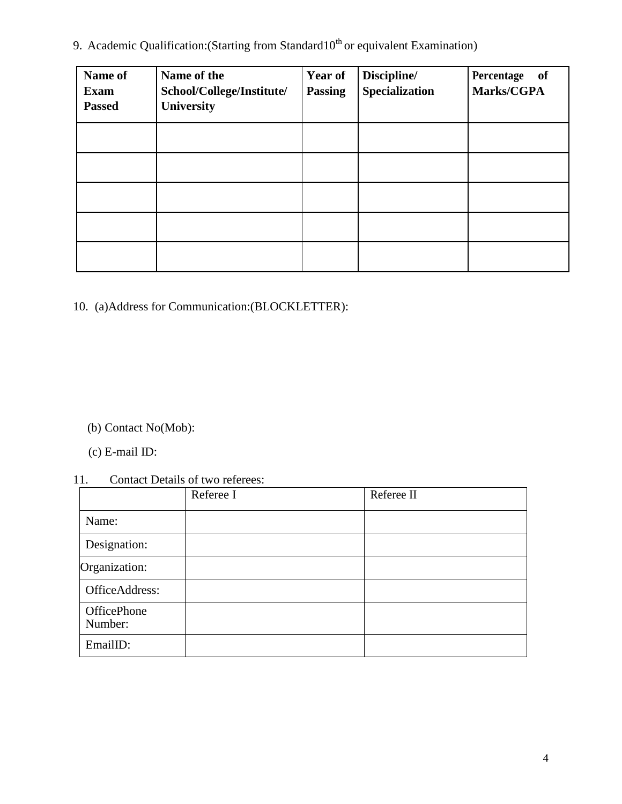9. Academic Qualification: (Starting from Standard10<sup>th</sup> or equivalent Examination)

| Name of<br><b>Exam</b><br><b>Passed</b> | Name of the<br>School/College/Institute/<br>University | <b>Year of</b><br><b>Passing</b> | Discipline/<br>Specialization | Percentage of<br>Marks/CGPA |
|-----------------------------------------|--------------------------------------------------------|----------------------------------|-------------------------------|-----------------------------|
|                                         |                                                        |                                  |                               |                             |
|                                         |                                                        |                                  |                               |                             |
|                                         |                                                        |                                  |                               |                             |
|                                         |                                                        |                                  |                               |                             |
|                                         |                                                        |                                  |                               |                             |

10. (a)Address for Communication:(BLOCKLETTER):

- (b) Contact No(Mob):
- (c) E-mail ID:

#### 11. Contact Details of two referees:

|                        | Referee I | Referee II |
|------------------------|-----------|------------|
| Name:                  |           |            |
| Designation:           |           |            |
| Organization:          |           |            |
| OfficeAddress:         |           |            |
| OfficePhone<br>Number: |           |            |
| EmailID:               |           |            |